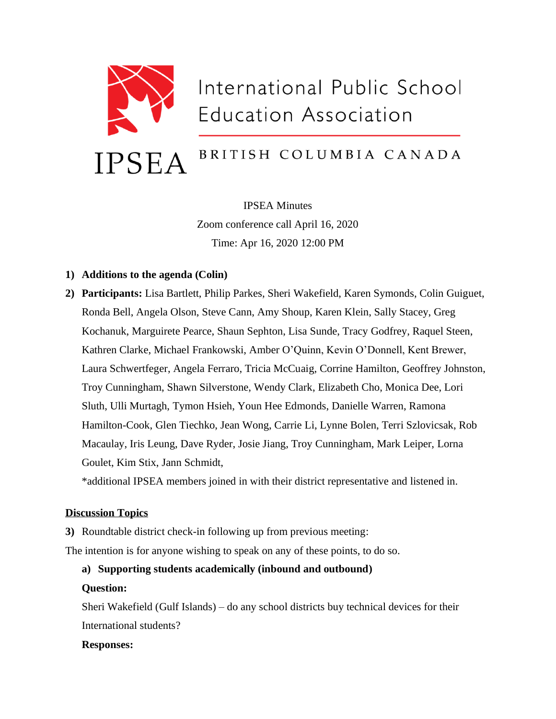

IPSEA Minutes Zoom conference call April 16, 2020 Time: Apr 16, 2020 12:00 PM

### **1) Additions to the agenda (Colin)**

**2) Participants:** Lisa Bartlett, Philip Parkes, Sheri Wakefield, Karen Symonds, Colin Guiguet, Ronda Bell, Angela Olson, Steve Cann, Amy Shoup, Karen Klein, Sally Stacey, Greg Kochanuk, Marguirete Pearce, Shaun Sephton, Lisa Sunde, Tracy Godfrey, Raquel Steen, Kathren Clarke, Michael Frankowski, Amber O'Quinn, Kevin O'Donnell, Kent Brewer, Laura Schwertfeger, Angela Ferraro, Tricia McCuaig, Corrine Hamilton, Geoffrey Johnston, Troy Cunningham, Shawn Silverstone, Wendy Clark, Elizabeth Cho, Monica Dee, Lori Sluth, Ulli Murtagh, Tymon Hsieh, Youn Hee Edmonds, Danielle Warren, Ramona Hamilton-Cook, Glen Tiechko, Jean Wong, Carrie Li, Lynne Bolen, Terri Szlovicsak, Rob Macaulay, Iris Leung, Dave Ryder, Josie Jiang, Troy Cunningham, Mark Leiper, Lorna Goulet, Kim Stix, Jann Schmidt,

\*additional IPSEA members joined in with their district representative and listened in.

#### **Discussion Topics**

**3)** Roundtable district check-in following up from previous meeting:

The intention is for anyone wishing to speak on any of these points, to do so.

#### **a) Supporting students academically (inbound and outbound)**

#### **Question:**

Sheri Wakefield (Gulf Islands) – do any school districts buy technical devices for their International students?

#### **Responses:**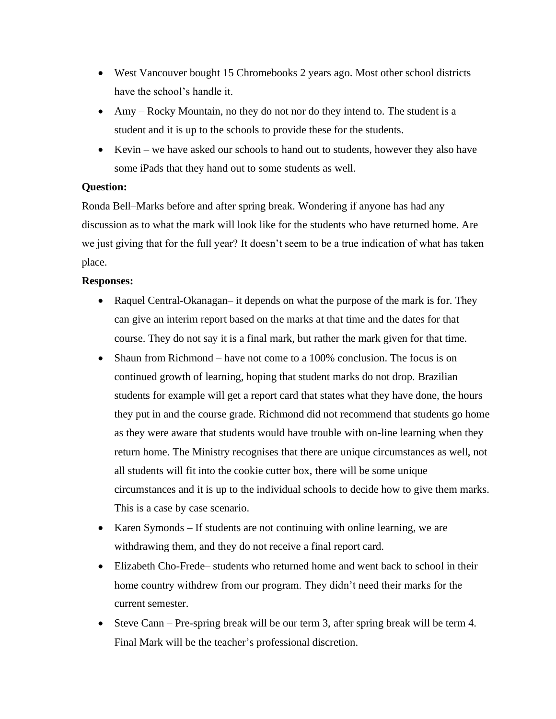- West Vancouver bought 15 Chromebooks 2 years ago. Most other school districts have the school's handle it.
- Amy Rocky Mountain, no they do not nor do they intend to. The student is a student and it is up to the schools to provide these for the students.
- Kevin we have asked our schools to hand out to students, however they also have some iPads that they hand out to some students as well.

## **Question:**

Ronda Bell–Marks before and after spring break. Wondering if anyone has had any discussion as to what the mark will look like for the students who have returned home. Are we just giving that for the full year? It doesn't seem to be a true indication of what has taken place.

### **Responses:**

- Raquel Central-Okanagan– it depends on what the purpose of the mark is for. They can give an interim report based on the marks at that time and the dates for that course. They do not say it is a final mark, but rather the mark given for that time.
- Shaun from Richmond have not come to a 100% conclusion. The focus is on continued growth of learning, hoping that student marks do not drop. Brazilian students for example will get a report card that states what they have done, the hours they put in and the course grade. Richmond did not recommend that students go home as they were aware that students would have trouble with on-line learning when they return home. The Ministry recognises that there are unique circumstances as well, not all students will fit into the cookie cutter box, there will be some unique circumstances and it is up to the individual schools to decide how to give them marks. This is a case by case scenario.
- Karen Symonds If students are not continuing with online learning, we are withdrawing them, and they do not receive a final report card.
- Elizabeth Cho-Frede– students who returned home and went back to school in their home country withdrew from our program. They didn't need their marks for the current semester.
- Steve Cann Pre-spring break will be our term 3, after spring break will be term 4. Final Mark will be the teacher's professional discretion.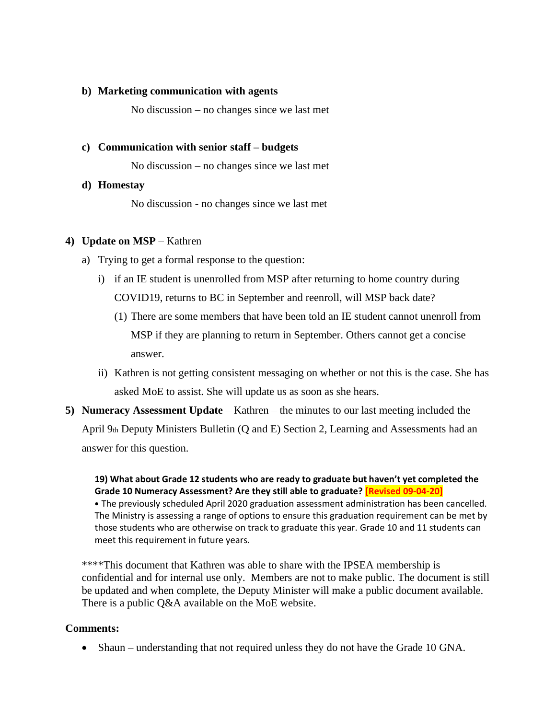#### **b) Marketing communication with agents**

No discussion – no changes since we last met

#### **c) Communication with senior staff – budgets**

No discussion – no changes since we last met

#### **d) Homestay**

No discussion - no changes since we last met

#### **4) Update on MSP** – Kathren

- a) Trying to get a formal response to the question:
	- i) if an IE student is unenrolled from MSP after returning to home country during COVID19, returns to BC in September and reenroll, will MSP back date?
		- (1) There are some members that have been told an IE student cannot unenroll from MSP if they are planning to return in September. Others cannot get a concise answer.
	- ii) Kathren is not getting consistent messaging on whether or not this is the case. She has asked MoE to assist. She will update us as soon as she hears.
- **5) Numeracy Assessment Update** Kathren the minutes to our last meeting included the April 9th Deputy Ministers Bulletin (Q and E) Section 2, Learning and Assessments had an answer for this question.

**19) What about Grade 12 students who are ready to graduate but haven't yet completed the Grade 10 Numeracy Assessment? Are they still able to graduate? [Revised 09-04-20]** • The previously scheduled April 2020 graduation assessment administration has been cancelled. The Ministry is assessing a range of options to ensure this graduation requirement can be met by those students who are otherwise on track to graduate this year. Grade 10 and 11 students can meet this requirement in future years.

\*\*\*\*This document that Kathren was able to share with the IPSEA membership is confidential and for internal use only. Members are not to make public. The document is still be updated and when complete, the Deputy Minister will make a public document available. There is a public Q&A available on the MoE website.

#### **Comments:**

• Shaun – understanding that not required unless they do not have the Grade 10 GNA.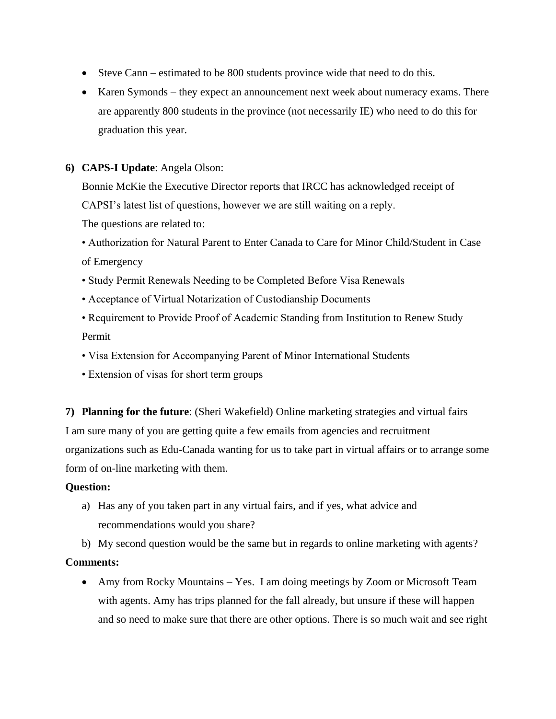- Steve Cann estimated to be 800 students province wide that need to do this.
- Karen Symonds they expect an announcement next week about numeracy exams. There are apparently 800 students in the province (not necessarily IE) who need to do this for graduation this year.

### **6) CAPS-I Update**: Angela Olson:

Bonnie McKie the Executive Director reports that IRCC has acknowledged receipt of CAPSI's latest list of questions, however we are still waiting on a reply. The questions are related to:

• Authorization for Natural Parent to Enter Canada to Care for Minor Child/Student in Case of Emergency

- Study Permit Renewals Needing to be Completed Before Visa Renewals
- Acceptance of Virtual Notarization of Custodianship Documents
- Requirement to Provide Proof of Academic Standing from Institution to Renew Study Permit
- Visa Extension for Accompanying Parent of Minor International Students
- Extension of visas for short term groups

**7) Planning for the future**: (Sheri Wakefield) Online marketing strategies and virtual fairs I am sure many of you are getting quite a few emails from agencies and recruitment organizations such as Edu-Canada wanting for us to take part in virtual affairs or to arrange some form of on-line marketing with them.

#### **Question:**

a) Has any of you taken part in any virtual fairs, and if yes, what advice and recommendations would you share?

b) My second question would be the same but in regards to online marketing with agents? **Comments:** 

• Amy from Rocky Mountains – Yes. I am doing meetings by Zoom or Microsoft Team with agents. Amy has trips planned for the fall already, but unsure if these will happen and so need to make sure that there are other options. There is so much wait and see right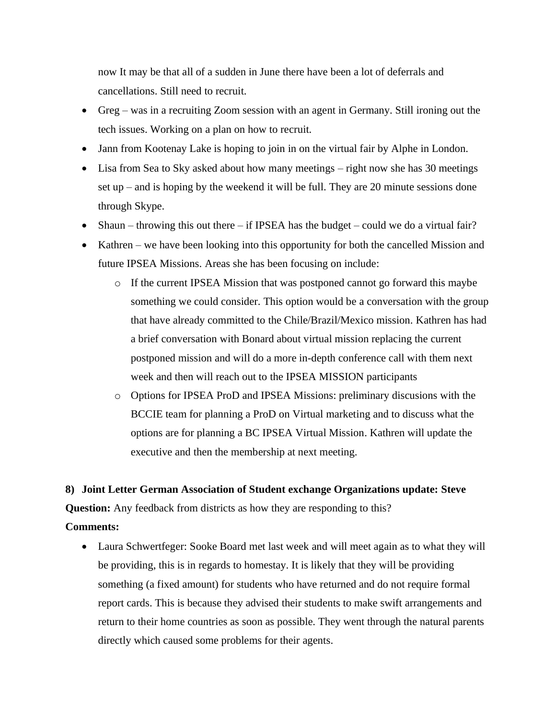now It may be that all of a sudden in June there have been a lot of deferrals and cancellations. Still need to recruit.

- Greg was in a recruiting Zoom session with an agent in Germany. Still ironing out the tech issues. Working on a plan on how to recruit.
- Jann from Kootenay Lake is hoping to join in on the virtual fair by Alphe in London.
- Lisa from Sea to Sky asked about how many meetings right now she has 30 meetings set up – and is hoping by the weekend it will be full. They are 20 minute sessions done through Skype.
- Shaun throwing this out there if IPSEA has the budget could we do a virtual fair?
- Kathren we have been looking into this opportunity for both the cancelled Mission and future IPSEA Missions. Areas she has been focusing on include:
	- o If the current IPSEA Mission that was postponed cannot go forward this maybe something we could consider. This option would be a conversation with the group that have already committed to the Chile/Brazil/Mexico mission. Kathren has had a brief conversation with Bonard about virtual mission replacing the current postponed mission and will do a more in-depth conference call with them next week and then will reach out to the IPSEA MISSION participants
	- o Options for IPSEA ProD and IPSEA Missions: preliminary discusions with the BCCIE team for planning a ProD on Virtual marketing and to discuss what the options are for planning a BC IPSEA Virtual Mission. Kathren will update the executive and then the membership at next meeting.

#### **8) Joint Letter German Association of Student exchange Organizations update: Steve**

**Question:** Any feedback from districts as how they are responding to this?

## **Comments:**

• Laura Schwertfeger: Sooke Board met last week and will meet again as to what they will be providing, this is in regards to homestay. It is likely that they will be providing something (a fixed amount) for students who have returned and do not require formal report cards. This is because they advised their students to make swift arrangements and return to their home countries as soon as possible. They went through the natural parents directly which caused some problems for their agents.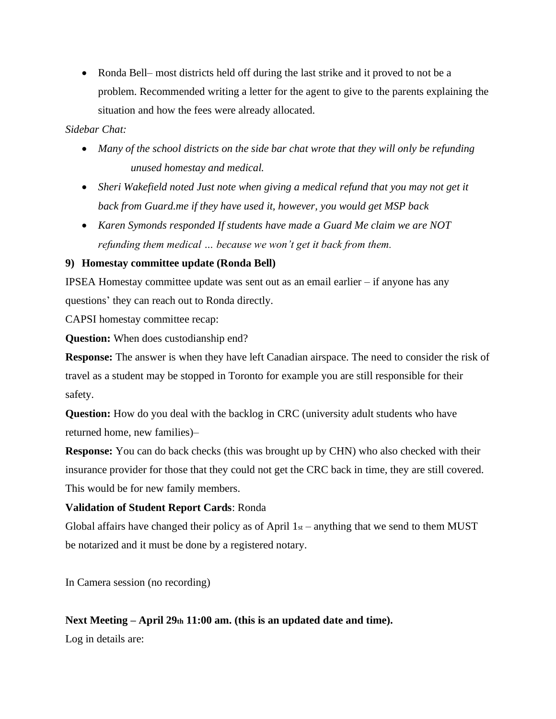• Ronda Bell– most districts held off during the last strike and it proved to not be a problem. Recommended writing a letter for the agent to give to the parents explaining the situation and how the fees were already allocated.

## *Sidebar Chat:*

- *Many of the school districts on the side bar chat wrote that they will only be refunding unused homestay and medical.*
- *Sheri Wakefield noted Just note when giving a medical refund that you may not get it back from Guard.me if they have used it, however, you would get MSP back*
- *Karen Symonds responded If students have made a Guard Me claim we are NOT refunding them medical … because we won't get it back from them.*

## **9) Homestay committee update (Ronda Bell)**

IPSEA Homestay committee update was sent out as an email earlier – if anyone has any questions' they can reach out to Ronda directly.

CAPSI homestay committee recap:

**Question:** When does custodianship end?

**Response:** The answer is when they have left Canadian airspace. The need to consider the risk of travel as a student may be stopped in Toronto for example you are still responsible for their safety.

**Question:** How do you deal with the backlog in CRC (university adult students who have returned home, new families)–

**Response:** You can do back checks (this was brought up by CHN) who also checked with their insurance provider for those that they could not get the CRC back in time, they are still covered. This would be for new family members.

# **Validation of Student Report Cards**: Ronda

Global affairs have changed their policy as of April  $1<sub>st</sub>$  – anything that we send to them MUST be notarized and it must be done by a registered notary.

In Camera session (no recording)

# **Next Meeting – April 29th 11:00 am. (this is an updated date and time).**

Log in details are: